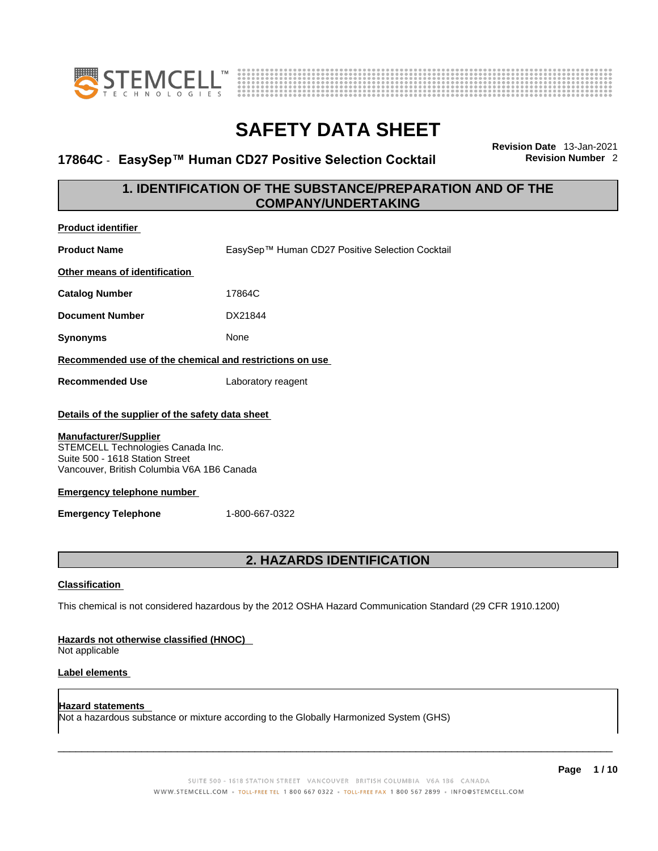



## **17864C ⋅ EasySep™ Human CD27 Positive Selection Cocktail**

**Revision Date** 13-Jan-2021

## **1. IDENTIFICATION OF THE SUBSTANCE/PREPARATION AND OF THE COMPANY/UNDERTAKING**

| <b>Product identifier</b>                                                                                                                                                                                                                                          |                                                                                                             |
|--------------------------------------------------------------------------------------------------------------------------------------------------------------------------------------------------------------------------------------------------------------------|-------------------------------------------------------------------------------------------------------------|
| <b>Product Name</b>                                                                                                                                                                                                                                                | EasySep™ Human CD27 Positive Selection Cocktail                                                             |
| Other means of identification                                                                                                                                                                                                                                      |                                                                                                             |
| <b>Catalog Number</b>                                                                                                                                                                                                                                              | 17864C                                                                                                      |
| <b>Document Number</b>                                                                                                                                                                                                                                             | DX21844                                                                                                     |
| <b>Synonyms</b>                                                                                                                                                                                                                                                    | None                                                                                                        |
| Recommended use of the chemical and restrictions on use                                                                                                                                                                                                            |                                                                                                             |
| <b>Recommended Use</b>                                                                                                                                                                                                                                             | Laboratory reagent                                                                                          |
| Details of the supplier of the safety data sheet<br>Manufacturer/Supplier<br>STEMCELL Technologies Canada Inc.<br>Suite 500 - 1618 Station Street<br>Vancouver, British Columbia V6A 1B6 Canada<br><b>Emergency telephone number</b><br><b>Emergency Telephone</b> | 1-800-667-0322                                                                                              |
|                                                                                                                                                                                                                                                                    | <b>2. HAZARDS IDENTIFICATION</b>                                                                            |
| <b>Classification</b>                                                                                                                                                                                                                                              |                                                                                                             |
|                                                                                                                                                                                                                                                                    | This chemical is not considered hazardous by the 2012 OSHA Hazard Communication Standard (29 CFR 1910.1200) |
| Hazards not otherwise classified (HNOC)<br>Not applicable                                                                                                                                                                                                          |                                                                                                             |
| <b>Label elements</b>                                                                                                                                                                                                                                              |                                                                                                             |
|                                                                                                                                                                                                                                                                    |                                                                                                             |

**Hazard statements**  Not a hazardous substance or mixture according to the Globally Harmonized System (GHS)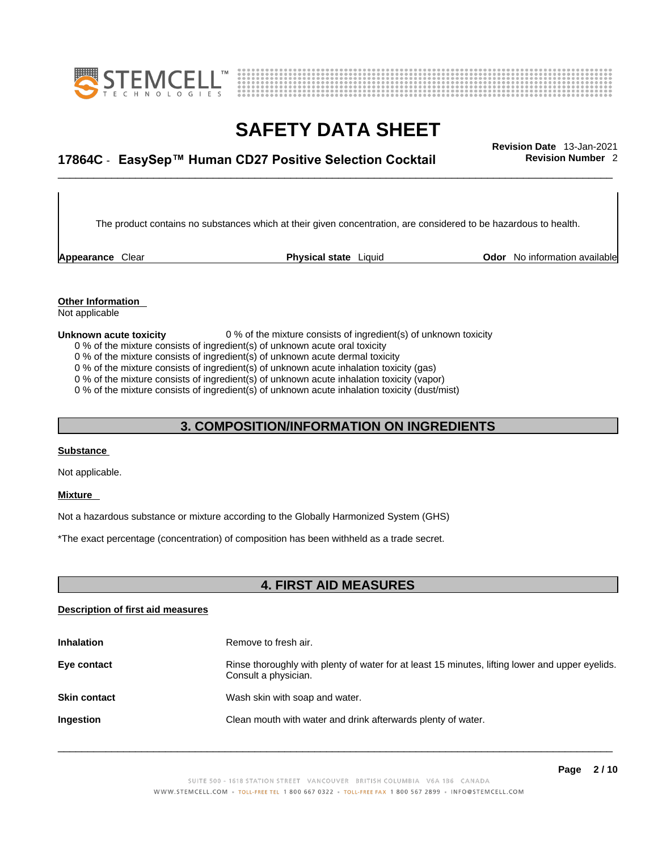



# \_\_\_\_\_\_\_\_\_\_\_\_\_\_\_\_\_\_\_\_\_\_\_\_\_\_\_\_\_\_\_\_\_\_\_\_\_\_\_\_\_\_\_\_\_\_\_\_\_\_\_\_\_\_\_\_\_\_\_\_\_\_\_\_\_\_\_\_\_\_\_\_\_\_\_\_\_\_\_\_\_\_\_\_\_\_\_\_\_\_\_\_\_ **Revision Date** 13-Jan-2021 **17864C** - **EasySep™ Human CD27 Positive Selection Cocktail Revision Number** 2

The product contains no substances which at their given concentration, are considered to be hazardous to health.

**Appearance** Clear **Physical state** Liquid

**Odor** No information available

**Other Information**  Not applicable

**Unknown acute toxicity** 0 % of the mixture consists of ingredient(s) of unknown toxicity

- 0 % of the mixture consists of ingredient(s) of unknown acute oral toxicity
- 0 % of the mixture consists of ingredient(s) of unknown acute dermal toxicity

0 % of the mixture consists of ingredient(s) of unknown acute inhalation toxicity (gas)

0 % of the mixture consists of ingredient(s) of unknown acute inhalation toxicity (vapor)

0 % of the mixture consists of ingredient(s) of unknown acute inhalation toxicity (dust/mist)

#### **3. COMPOSITION/INFORMATION ON INGREDIENTS**

#### **Substance**

Not applicable.

#### **Mixture**

Not a hazardous substance or mixture according to the Globally Harmonized System (GHS)

\*The exact percentage (concentration) of composition has been withheld as a trade secret.

#### **4. FIRST AID MEASURES**

#### **Description of first aid measures**

| <b>Inhalation</b>   | Remove to fresh air.                                                                                                    |
|---------------------|-------------------------------------------------------------------------------------------------------------------------|
| Eye contact         | Rinse thoroughly with plenty of water for at least 15 minutes, lifting lower and upper eyelids.<br>Consult a physician. |
| <b>Skin contact</b> | Wash skin with soap and water.                                                                                          |
| <b>Ingestion</b>    | Clean mouth with water and drink afterwards plenty of water.                                                            |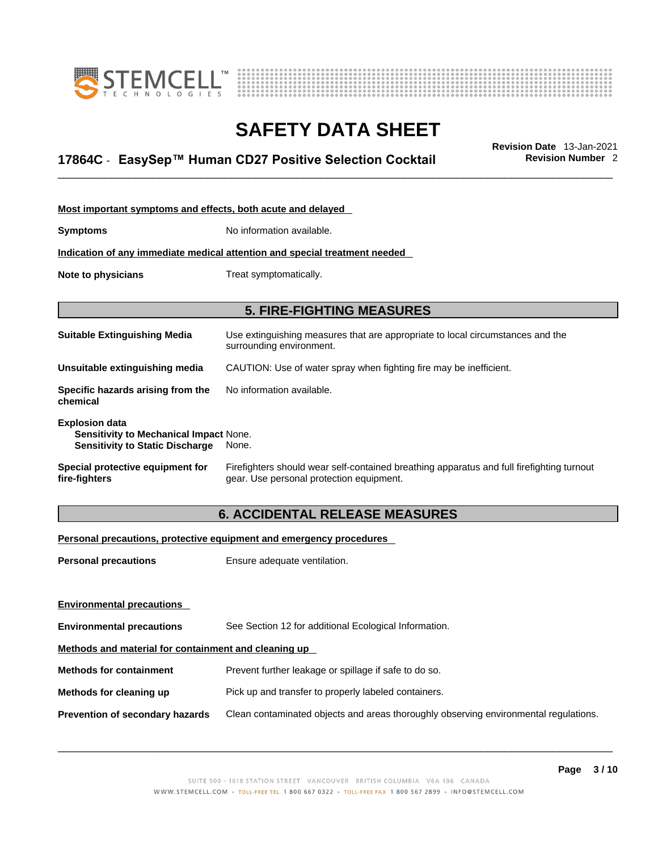



# \_\_\_\_\_\_\_\_\_\_\_\_\_\_\_\_\_\_\_\_\_\_\_\_\_\_\_\_\_\_\_\_\_\_\_\_\_\_\_\_\_\_\_\_\_\_\_\_\_\_\_\_\_\_\_\_\_\_\_\_\_\_\_\_\_\_\_\_\_\_\_\_\_\_\_\_\_\_\_\_\_\_\_\_\_\_\_\_\_\_\_\_\_ **Revision Date** 13-Jan-2021 **17864C** - **EasySep™ Human CD27 Positive Selection Cocktail Revision Number** 2

| Most important symptoms and effects, both acute and delayed                                                      |                                                                                                                                       |
|------------------------------------------------------------------------------------------------------------------|---------------------------------------------------------------------------------------------------------------------------------------|
| <b>Symptoms</b>                                                                                                  | No information available.                                                                                                             |
|                                                                                                                  | Indication of any immediate medical attention and special treatment needed                                                            |
| Note to physicians                                                                                               | Treat symptomatically.                                                                                                                |
|                                                                                                                  |                                                                                                                                       |
|                                                                                                                  | <b>5. FIRE-FIGHTING MEASURES</b>                                                                                                      |
| <b>Suitable Extinguishing Media</b>                                                                              | Use extinguishing measures that are appropriate to local circumstances and the<br>surrounding environment.                            |
| Unsuitable extinguishing media                                                                                   | CAUTION: Use of water spray when fighting fire may be inefficient.                                                                    |
| Specific hazards arising from the<br>chemical                                                                    | No information available.                                                                                                             |
| <b>Explosion data</b><br><b>Sensitivity to Mechanical Impact None.</b><br><b>Sensitivity to Static Discharge</b> | None.                                                                                                                                 |
| Special protective equipment for<br>fire-fighters                                                                | Firefighters should wear self-contained breathing apparatus and full firefighting turnout<br>gear. Use personal protection equipment. |

## **6. ACCIDENTAL RELEASE MEASURES**

#### **Personal precautions, protective equipment and emergency procedures**

| <b>Personal precautions</b>                          | Ensure adequate ventilation.                                                         |  |
|------------------------------------------------------|--------------------------------------------------------------------------------------|--|
| <b>Environmental precautions</b>                     |                                                                                      |  |
| <b>Environmental precautions</b>                     | See Section 12 for additional Ecological Information.                                |  |
| Methods and material for containment and cleaning up |                                                                                      |  |
| <b>Methods for containment</b>                       | Prevent further leakage or spillage if safe to do so.                                |  |
| Methods for cleaning up                              | Pick up and transfer to properly labeled containers.                                 |  |
| Prevention of secondary hazards                      | Clean contaminated objects and areas thoroughly observing environmental regulations. |  |
|                                                      |                                                                                      |  |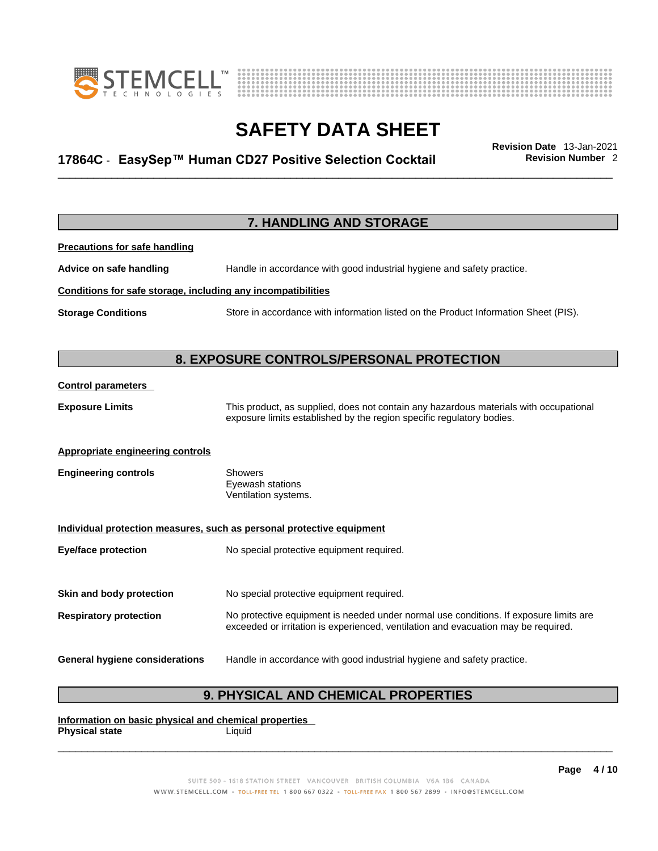



# \_\_\_\_\_\_\_\_\_\_\_\_\_\_\_\_\_\_\_\_\_\_\_\_\_\_\_\_\_\_\_\_\_\_\_\_\_\_\_\_\_\_\_\_\_\_\_\_\_\_\_\_\_\_\_\_\_\_\_\_\_\_\_\_\_\_\_\_\_\_\_\_\_\_\_\_\_\_\_\_\_\_\_\_\_\_\_\_\_\_\_\_\_ **Revision Date** 13-Jan-2021 **17864C** - **EasySep™ Human CD27 Positive Selection Cocktail Revision Number** 2

|                                                              | 7. HANDLING AND STORAGE                                                                                                                                                     |
|--------------------------------------------------------------|-----------------------------------------------------------------------------------------------------------------------------------------------------------------------------|
| <b>Precautions for safe handling</b>                         |                                                                                                                                                                             |
| Advice on safe handling                                      | Handle in accordance with good industrial hygiene and safety practice.                                                                                                      |
| Conditions for safe storage, including any incompatibilities |                                                                                                                                                                             |
| <b>Storage Conditions</b>                                    | Store in accordance with information listed on the Product Information Sheet (PIS).                                                                                         |
|                                                              |                                                                                                                                                                             |
|                                                              | 8. EXPOSURE CONTROLS/PERSONAL PROTECTION                                                                                                                                    |
| <b>Control parameters</b>                                    |                                                                                                                                                                             |
| <b>Exposure Limits</b>                                       | This product, as supplied, does not contain any hazardous materials with occupational<br>exposure limits established by the region specific regulatory bodies.              |
| <b>Appropriate engineering controls</b>                      |                                                                                                                                                                             |
| <b>Engineering controls</b>                                  | <b>Showers</b><br>Eyewash stations<br>Ventilation systems.                                                                                                                  |
|                                                              | Individual protection measures, such as personal protective equipment                                                                                                       |
| <b>Eye/face protection</b>                                   | No special protective equipment required.                                                                                                                                   |
| Skin and body protection                                     | No special protective equipment required.                                                                                                                                   |
| <b>Respiratory protection</b>                                | No protective equipment is needed under normal use conditions. If exposure limits are<br>exceeded or irritation is experienced, ventilation and evacuation may be required. |
| <b>General hygiene considerations</b>                        | Handle in accordance with good industrial hygiene and safety practice.                                                                                                      |

## **9. PHYSICAL AND CHEMICAL PROPERTIES**

**Information on basic physical and chemical properties Physical state** Liquid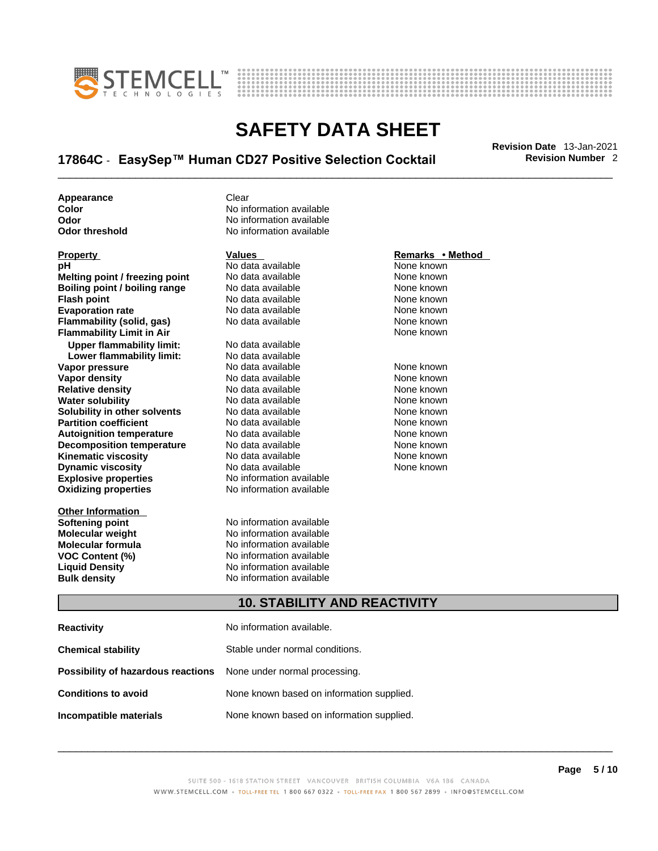



# \_\_\_\_\_\_\_\_\_\_\_\_\_\_\_\_\_\_\_\_\_\_\_\_\_\_\_\_\_\_\_\_\_\_\_\_\_\_\_\_\_\_\_\_\_\_\_\_\_\_\_\_\_\_\_\_\_\_\_\_\_\_\_\_\_\_\_\_\_\_\_\_\_\_\_\_\_\_\_\_\_\_\_\_\_\_\_\_\_\_\_\_\_ **Revision Date** 13-Jan-2021 **17864C** - **EasySep™ Human CD27 Positive Selection Cocktail Revision Number** 2

**Appearance Clear** 

**Explosive properties**<br> **Calculation available**<br> **Oxidizing properties**<br>
No information available **Oxidizing properties Property CONSCRUTE ACCORDING METHOD Values <b>CONSCRUTE ACCORDING METHOD METHOD METHOD VALUES Property Remarks** • **Method pH** No data available None known **Melting point / freezing point** No data available None known<br> **Rojling point / bojling range** No data available None Known None known **Boiling point / boiling range** No data available **None known**<br>
No data available **None known**<br>
No data available **None known Evaporation rate Cone Cone Access Mone Cone Cone Cone Access Provident Cone Cone Access Provident Cone known<br>
<b>Flammability (solid. gas)** No data available Cone Cone Known **Flammability (solid, gas)** No data available None known **Flammability Limit in Air None known None known Upper flammability limit:** No data available **Lower flammability limit:** No data available **Vapor pressure** 1980 in the Modata available 1980 in the Known None known<br> **Vapor density** 1980 in the None Known None known None known **Vapor density** No data available None known **Relative density Water solubility** No data available None known **Solubility in other solvents** No data available None known **Partition coefficient**<br> **Autoignition temperature**<br>
No data available None None known<br>
None known **Autoignition temperature** Mo data available Mone known<br> **Decomposition temperature** No data available None Known **Decomposition temperature** No data available<br>**Kinematic viscosity** No data available **Kinematic viscosity No data available None known**<br> **Discussible No data available None known**<br>
None known **Dynamic viscosity No data available None known** 

**Other Information** 

**Color Color Color Color Color Color Color Color Color Color Color Color Color Color Color Color Color Color Color Color Color Color Color Color Color Color Color Color Odor No** information available<br> **Odor threshold No** information available **No information available** 

**No data available** 

**Softening point**<br> **Molecular weight**<br> **Molecular weight**<br> **Molecular weight**<br> **Molecular weight No information available Molecular formula** No information available **VOC Content (%)**<br> **Content (%)**<br>
No information available<br>
No information available **No information available Bulk density No information available** 

### **10. STABILITY AND REACTIVITY**

| <b>Reactivity</b>                                                       | No information available.                 |
|-------------------------------------------------------------------------|-------------------------------------------|
| <b>Chemical stability</b>                                               | Stable under normal conditions.           |
| <b>Possibility of hazardous reactions</b> None under normal processing. |                                           |
| <b>Conditions to avoid</b>                                              | None known based on information supplied. |
| Incompatible materials                                                  | None known based on information supplied. |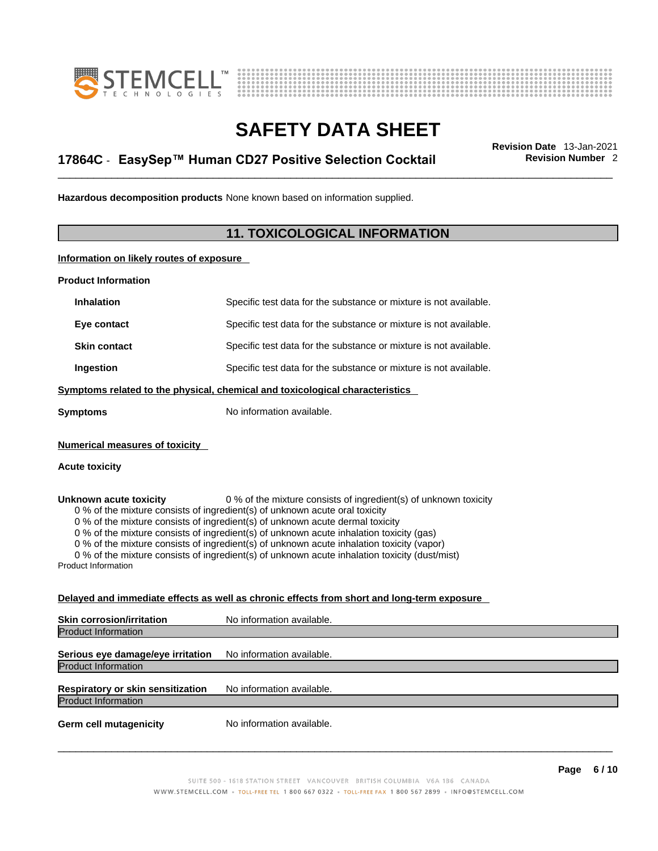



# \_\_\_\_\_\_\_\_\_\_\_\_\_\_\_\_\_\_\_\_\_\_\_\_\_\_\_\_\_\_\_\_\_\_\_\_\_\_\_\_\_\_\_\_\_\_\_\_\_\_\_\_\_\_\_\_\_\_\_\_\_\_\_\_\_\_\_\_\_\_\_\_\_\_\_\_\_\_\_\_\_\_\_\_\_\_\_\_\_\_\_\_\_ **Revision Date** 13-Jan-2021 **17864C** - **EasySep™ Human CD27 Positive Selection Cocktail Revision Number** 2

**Hazardous decomposition products** None known based on information supplied.

## **11. TOXICOLOGICAL INFORMATION**

**Information on likely routes of exposure**

**Product Information**

| <b>Inhalation</b>                                              | Specific test data for the substance or mixture is not available.                                                                                                                                                                                                                                                                                                                                                                                                                                                         |
|----------------------------------------------------------------|---------------------------------------------------------------------------------------------------------------------------------------------------------------------------------------------------------------------------------------------------------------------------------------------------------------------------------------------------------------------------------------------------------------------------------------------------------------------------------------------------------------------------|
| Eye contact                                                    | Specific test data for the substance or mixture is not available.                                                                                                                                                                                                                                                                                                                                                                                                                                                         |
| <b>Skin contact</b>                                            | Specific test data for the substance or mixture is not available.                                                                                                                                                                                                                                                                                                                                                                                                                                                         |
| Ingestion                                                      | Specific test data for the substance or mixture is not available.                                                                                                                                                                                                                                                                                                                                                                                                                                                         |
|                                                                | Symptoms related to the physical, chemical and toxicological characteristics                                                                                                                                                                                                                                                                                                                                                                                                                                              |
| <b>Symptoms</b>                                                | No information available.                                                                                                                                                                                                                                                                                                                                                                                                                                                                                                 |
| <b>Numerical measures of toxicity</b><br><b>Acute toxicity</b> |                                                                                                                                                                                                                                                                                                                                                                                                                                                                                                                           |
| Unknown acute toxicity<br><b>Product Information</b>           | 0 % of the mixture consists of ingredient(s) of unknown toxicity<br>0 % of the mixture consists of ingredient(s) of unknown acute oral toxicity<br>0 % of the mixture consists of ingredient(s) of unknown acute dermal toxicity<br>0 % of the mixture consists of ingredient(s) of unknown acute inhalation toxicity (gas)<br>0 % of the mixture consists of ingredient(s) of unknown acute inhalation toxicity (vapor)<br>0 % of the mixture consists of ingredient(s) of unknown acute inhalation toxicity (dust/mist) |
|                                                                | Delayed and immediate effects as well as chronic effects from short and long-term exposure                                                                                                                                                                                                                                                                                                                                                                                                                                |
| Skin corrosion/irritation                                      | No information available.                                                                                                                                                                                                                                                                                                                                                                                                                                                                                                 |

| <b>Product Information</b>        |                           |
|-----------------------------------|---------------------------|
|                                   |                           |
| Serious eye damage/eye irritation | No information available. |
| Product Information               |                           |
|                                   |                           |
| Respiratory or skin sensitization | No information available. |
| Product Information               |                           |
| <b>Germ cell mutagenicity</b>     | No information available. |
|                                   |                           |
|                                   |                           |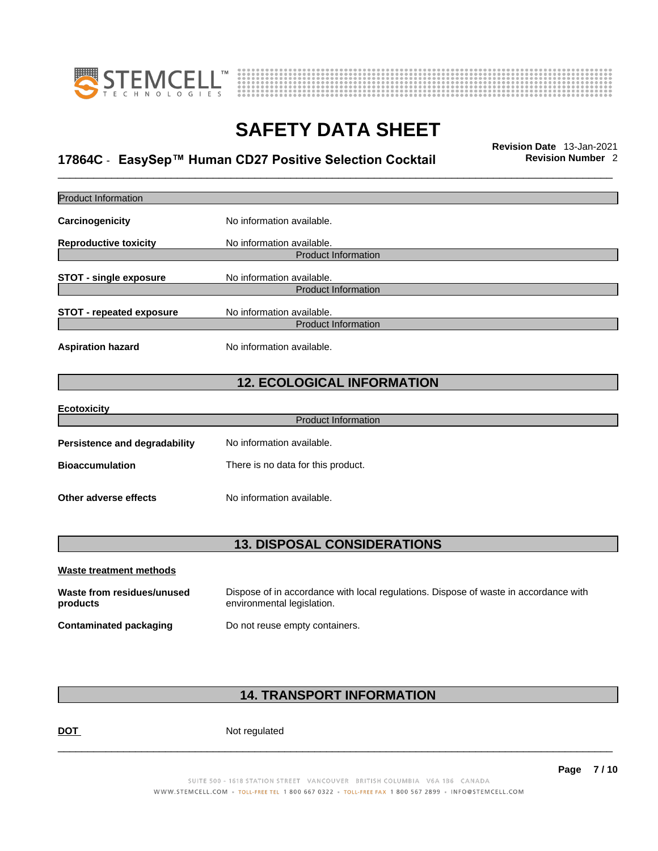



# \_\_\_\_\_\_\_\_\_\_\_\_\_\_\_\_\_\_\_\_\_\_\_\_\_\_\_\_\_\_\_\_\_\_\_\_\_\_\_\_\_\_\_\_\_\_\_\_\_\_\_\_\_\_\_\_\_\_\_\_\_\_\_\_\_\_\_\_\_\_\_\_\_\_\_\_\_\_\_\_\_\_\_\_\_\_\_\_\_\_\_\_\_ **Revision Date** 13-Jan-2021 **17864C** - **EasySep™ Human CD27 Positive Selection Cocktail Revision Number** 2

| <b>Product Information</b>             |                                                                                                                    |
|----------------------------------------|--------------------------------------------------------------------------------------------------------------------|
| Carcinogenicity                        | No information available.                                                                                          |
| <b>Reproductive toxicity</b>           | No information available.                                                                                          |
|                                        | <b>Product Information</b>                                                                                         |
| <b>STOT - single exposure</b>          | No information available.                                                                                          |
|                                        | <b>Product Information</b>                                                                                         |
| <b>STOT - repeated exposure</b>        | No information available.                                                                                          |
|                                        | <b>Product Information</b>                                                                                         |
| <b>Aspiration hazard</b>               | No information available.                                                                                          |
|                                        | <b>12. ECOLOGICAL INFORMATION</b>                                                                                  |
| <b>Ecotoxicity</b>                     |                                                                                                                    |
|                                        | <b>Product Information</b>                                                                                         |
| <b>Persistence and degradability</b>   | No information available.                                                                                          |
| <b>Bioaccumulation</b>                 | There is no data for this product.                                                                                 |
| Other adverse effects                  | No information available.                                                                                          |
| <b>13. DISPOSAL CONSIDERATIONS</b>     |                                                                                                                    |
| <b>Waste treatment methods</b>         |                                                                                                                    |
| Waste from residues/unused<br>products | Dispose of in accordance with local regulations. Dispose of waste in accordance with<br>environmental legislation. |
| <b>Contaminated packaging</b>          | Do not reuse empty containers.                                                                                     |
|                                        |                                                                                                                    |

## **14. TRANSPORT INFORMATION**

DOT Not regulated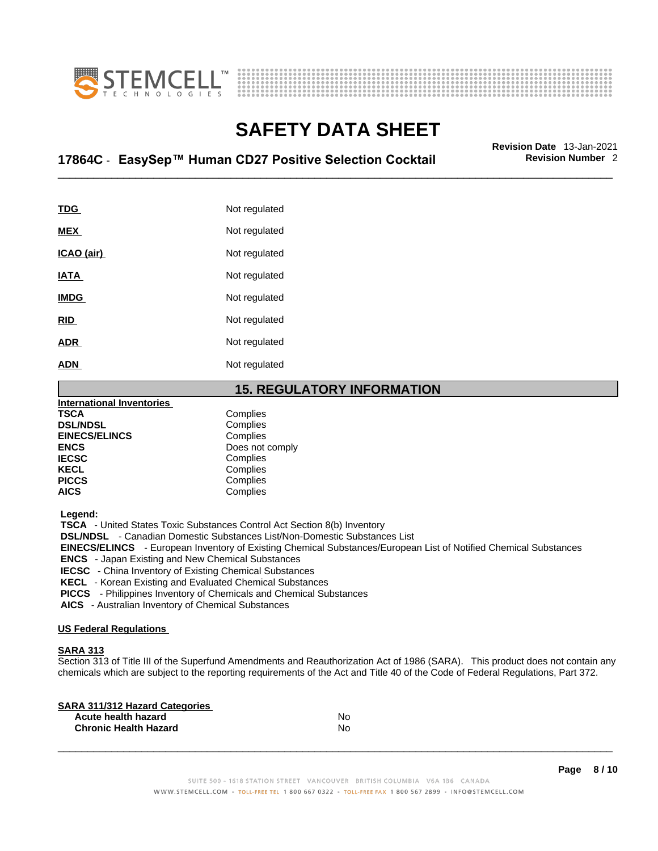



# \_\_\_\_\_\_\_\_\_\_\_\_\_\_\_\_\_\_\_\_\_\_\_\_\_\_\_\_\_\_\_\_\_\_\_\_\_\_\_\_\_\_\_\_\_\_\_\_\_\_\_\_\_\_\_\_\_\_\_\_\_\_\_\_\_\_\_\_\_\_\_\_\_\_\_\_\_\_\_\_\_\_\_\_\_\_\_\_\_\_\_\_\_ **Revision Date** 13-Jan-2021 **17864C** - **EasySep™ Human CD27 Positive Selection Cocktail Revision Number** 2

| <b>TDG</b>  | Not regulated |
|-------------|---------------|
| <b>MEX</b>  | Not regulated |
| ICAO (air)  | Not regulated |
| <b>IATA</b> | Not regulated |
| <b>IMDG</b> | Not regulated |
| <b>RID</b>  | Not regulated |
| <b>ADR</b>  | Not regulated |
| <b>ADN</b>  | Not regulated |

#### **15. REGULATORY INFORMATION**

| <b>International Inventories</b> |                 |  |
|----------------------------------|-----------------|--|
| <b>TSCA</b>                      | Complies        |  |
| <b>DSL/NDSL</b>                  | Complies        |  |
| <b>EINECS/ELINCS</b>             | Complies        |  |
| <b>ENCS</b>                      | Does not comply |  |
| <b>IECSC</b>                     | Complies        |  |
| <b>KECL</b>                      | Complies        |  |
| <b>PICCS</b>                     | Complies        |  |
| <b>AICS</b>                      | Complies        |  |
|                                  |                 |  |

 **Legend:** 

 **TSCA** - United States Toxic Substances Control Act Section 8(b) Inventory

 **DSL/NDSL** - Canadian Domestic Substances List/Non-Domestic Substances List

 **EINECS/ELINCS** - European Inventory of Existing Chemical Substances/European List of Notified Chemical Substances

 **ENCS** - Japan Existing and New Chemical Substances

 **IECSC** - China Inventory of Existing Chemical Substances

 **KECL** - Korean Existing and Evaluated Chemical Substances

 **PICCS** - Philippines Inventory of Chemicals and Chemical Substances

 **AICS** - Australian Inventory of Chemical Substances

#### **US Federal Regulations**

#### **SARA 313**

Section 313 of Title III of the Superfund Amendments and Reauthorization Act of 1986 (SARA). This product does not contain any chemicals which are subject to the reporting requirements of the Act and Title 40 of the Code of Federal Regulations, Part 372.

| No |  |
|----|--|
| No |  |
|    |  |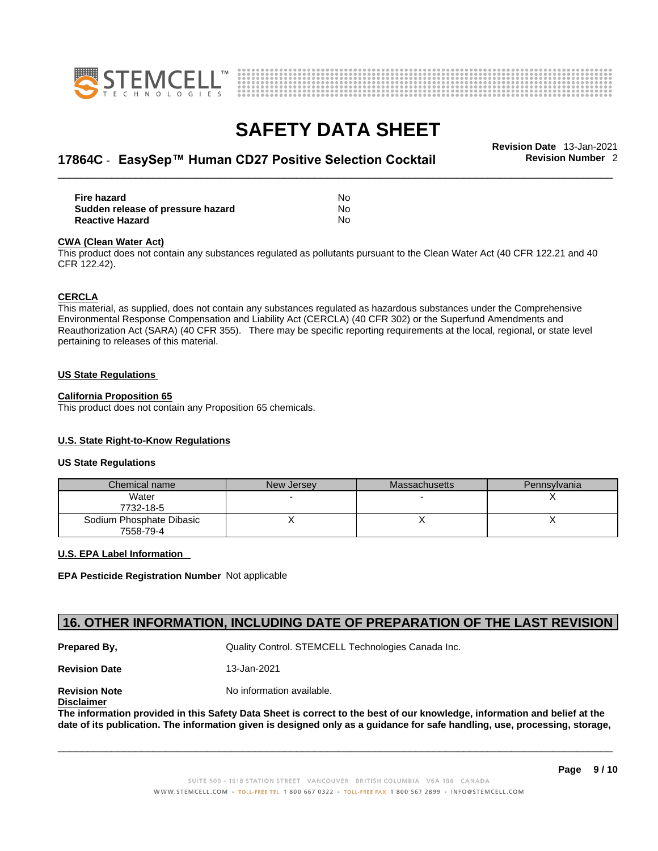



# \_\_\_\_\_\_\_\_\_\_\_\_\_\_\_\_\_\_\_\_\_\_\_\_\_\_\_\_\_\_\_\_\_\_\_\_\_\_\_\_\_\_\_\_\_\_\_\_\_\_\_\_\_\_\_\_\_\_\_\_\_\_\_\_\_\_\_\_\_\_\_\_\_\_\_\_\_\_\_\_\_\_\_\_\_\_\_\_\_\_\_\_\_ **Revision Date** 13-Jan-2021 **17864C** - **EasySep™ Human CD27 Positive Selection Cocktail Revision Number** 2

| Fire hazard                       | N٥ |
|-----------------------------------|----|
| Sudden release of pressure hazard | No |
| <b>Reactive Hazard</b>            | N٥ |

#### **CWA** (Clean Water Act)

This product does not contain any substances regulated as pollutants pursuant to the Clean Water Act (40 CFR 122.21 and 40 CFR 122.42).

#### **CERCLA**

This material, as supplied, does not contain any substances regulated as hazardous substances under the Comprehensive Environmental Response Compensation and Liability Act (CERCLA) (40 CFR 302) or the Superfund Amendments and Reauthorization Act (SARA) (40 CFR 355). There may be specific reporting requirements at the local, regional, or state level pertaining to releases of this material.

#### **US State Regulations**

#### **California Proposition 65**

This product does not contain any Proposition 65 chemicals.

#### **U.S. State Right-to-Know Regulations**

#### **US State Regulations**

| Chemical name                         | New Jersey | <b>Massachusetts</b> | Pennsylvania |
|---------------------------------------|------------|----------------------|--------------|
| Water<br>7732-18-5                    |            |                      |              |
| Sodium Phosphate Dibasic<br>7558-79-4 |            |                      |              |

#### **U.S. EPA Label Information**

**EPA Pesticide Registration Number** Not applicable

### **16. OTHER INFORMATION, INCLUDING DATE OF PREPARATION OF THE LAST REVISION**

**Prepared By, State Control. STEMCELL Technologies Canada Inc.** Canada Inc.

**Revision Date** 13-Jan-2021

**Disclaimer**

**Revision Note** Noinformation available.

The information provided in this Safety Data Sheet is correct to the best of our knowledge, information and belief at the date of its publication. The information given is designed only as a guidance for safe handling, use, processing, storage,